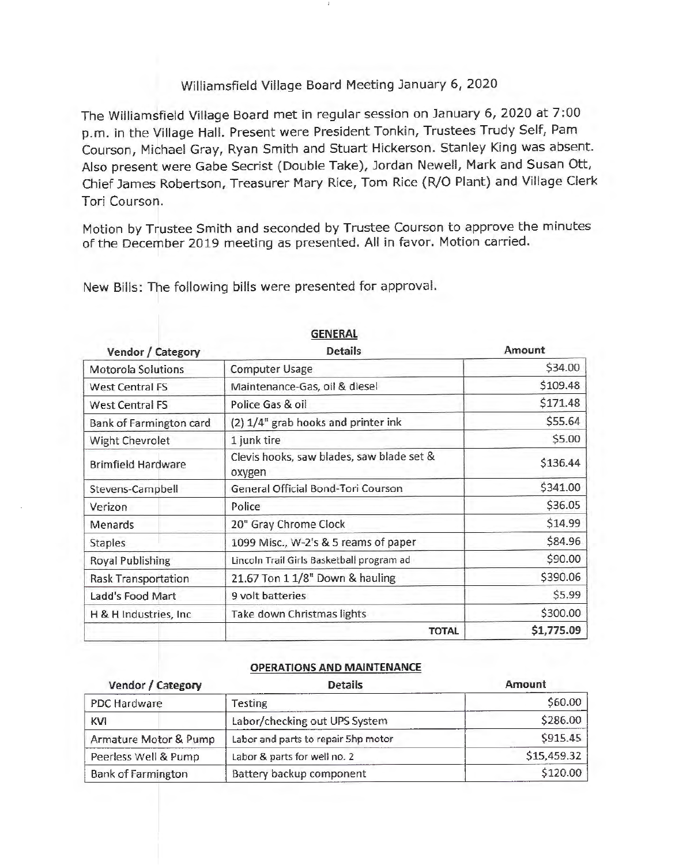## Williamsfield Village Board Meeting January 6, 2020

The Williamsfield Village Board met in regular session on January 6, 2020 at 7:00 p.m. in the Village Hall. Present were President Tonkin, Trustees Trudy Self, Pam Courson, Michael Gray, Ryan Smith and Stuart Hickerson. Stanley King was absent. Also present were Gabe Secrist (Double Take), Jordan Newell, Mark and Susan Ott, Chief James Robertson, Treasurer Mary Rice, Tom Rice (R/0 Plant) and Village Clerk Tori Courson.

Motion by Trustee Smith and seconded by Trustee Courson to approve the minutes of the December 2019 meeting as presented. All in favor. Motion carried.

New Bills: The following bills were presented for approval.

| Vendor / Category          | <b>Details</b>                                      | <b>Amount</b> |
|----------------------------|-----------------------------------------------------|---------------|
| Motorola Solutions         | <b>Computer Usage</b>                               | \$34.00       |
| <b>West Central FS</b>     | Maintenance-Gas, oil & diesel                       | \$109.48      |
| West Central FS            | Police Gas & oil                                    | \$171.48      |
| Bank of Farmington card    | (2) 1/4" grab hooks and printer ink                 | \$55.64       |
| Wight Chevrolet            | 1 junk tire                                         | \$5.00        |
| <b>Brimfield Hardware</b>  | Clevis hooks, saw blades, saw blade set &<br>oxygen | \$136.44      |
| Stevens-Campbell           | General Official Bond-Tori Courson                  | \$341.00      |
| Verizon                    | Police                                              | \$36.05       |
| Menards                    | 20" Gray Chrome Clock                               | \$14.99       |
| <b>Staples</b>             | 1099 Misc., W-2's & 5 reams of paper                | \$84.96       |
| <b>Royal Publishing</b>    | Lincoln Trail Girls Basketball program ad           | \$90.00       |
| <b>Rask Transportation</b> | 21.67 Ton 1 1/8" Down & hauling                     | \$390.06      |
| Ladd's Food Mart           | 9 volt batteries                                    | \$5.99        |
| H & H Industries, Inc.     | Take down Christmas lights                          | \$300.00      |
|                            | <b>TOTAL</b>                                        | \$1,775.09    |

# **GENERAL**

### **OPERATIONS AND MAINTENANCE**

| Vendor / Category         | <b>Details</b>                      | Amount      |
|---------------------------|-------------------------------------|-------------|
| PDC Hardware              | Testing                             | \$60.00     |
| <b>KVI</b>                | Labor/checking out UPS System       | \$286.00    |
| Armature Motor & Pump     | Labor and parts to repair 5hp motor | S915.45     |
| Peerless Well & Pump      | Labor & parts for well no. 2        | \$15,459.32 |
| <b>Bank of Farmington</b> | Battery backup component            | \$120.00    |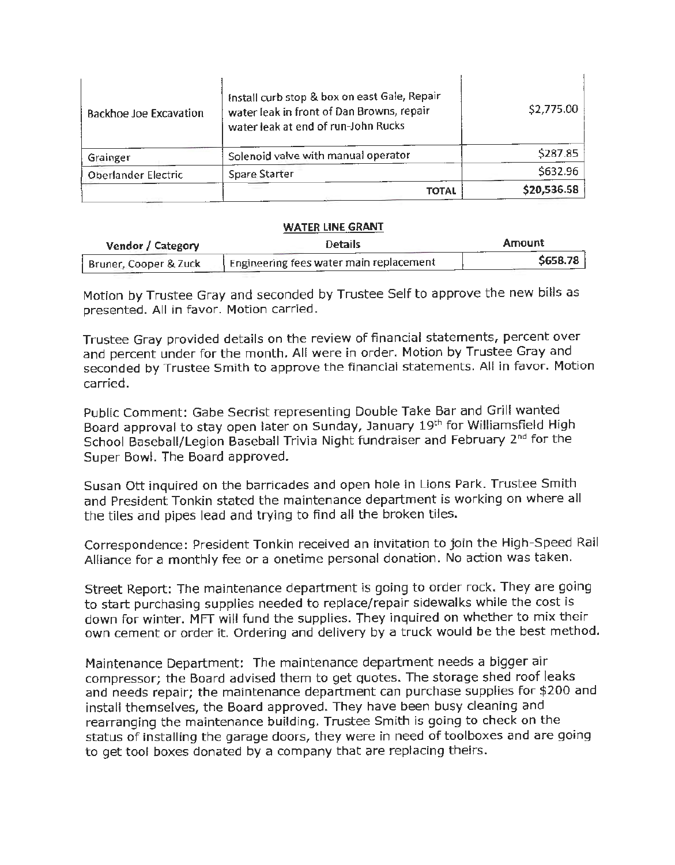| <b>Backhoe Joe Excavation</b> | Install curb stop & box on east Gale, Repair<br>water leak in front of Dan Browns, repair<br>water leak at end of run-John Rucks | \$2,775.00  |
|-------------------------------|----------------------------------------------------------------------------------------------------------------------------------|-------------|
| Grainger                      | Solenoid valve with manual operator                                                                                              | \$287.85    |
| Oberlander Electric           | Spare Starter                                                                                                                    | \$632.96    |
|                               | <b>TOTAL</b>                                                                                                                     | \$20,536.58 |

#### **WATER LINE GRANT**

| Vendor / Category     | <b>Details</b>                          | Amount   |
|-----------------------|-----------------------------------------|----------|
| Bruner, Cooper & Zuck | Engineering fees water main replacement | \$658.78 |

Motion by Trustee Gray and seconded by Trustee Self to approve the new bills as presented. All in favor. Motion carried.

Trustee Gray provided details on the review of financial statements, percent over and percent under for the month. All were in order. Motion by Trustee Gray and seconded by Trustee Smith to approve the financial statements. All in favor. Motion carried.

Public Comment: Gabe Secrist representing Double Take Bar and Grill wanted Board approval to stay open later on Sunday, January 19th for Williamsfield High School Baseball/Legion Baseball Trivia Night fundraiser and February 2<sup>nd</sup> for the Super Bowl. The Board approved.

Susan Ott inquired on the barricades and open hole in Lions Park. Trustee Smith and President Tonkin stated the maintenance department is working on where all the tiles and pipes lead and trying to find all the broken tiles.

Correspondence: President Tonkin received an invitation to join the High-Speed Rail Alliance for a monthly fee or a onetime personal donation. No action was taken.

Street Report: The maintenance department is going to order rock. They are going to start purchasing supplies needed to replace/repair sidewalks while the cost is down for winter. MFT will fund the supplies. They inquired on whether to mix their own cement or order it. Ordering and delivery by a truck would be the best method.

Maintenance Department: The maintenance department needs a bigger air compressor; the Board advised them to get quotes. The storage shed roof leaks and needs repair; the maintenance department can purchase supplies for \$200 and install themselves, the Board approved. They have been busy cleaning and rearranging the maintenance building. Trustee Smith is going to check on the status of installing the garage doors, they were in need of toolboxes and are going to get tool boxes donated by a company that are replacing theirs.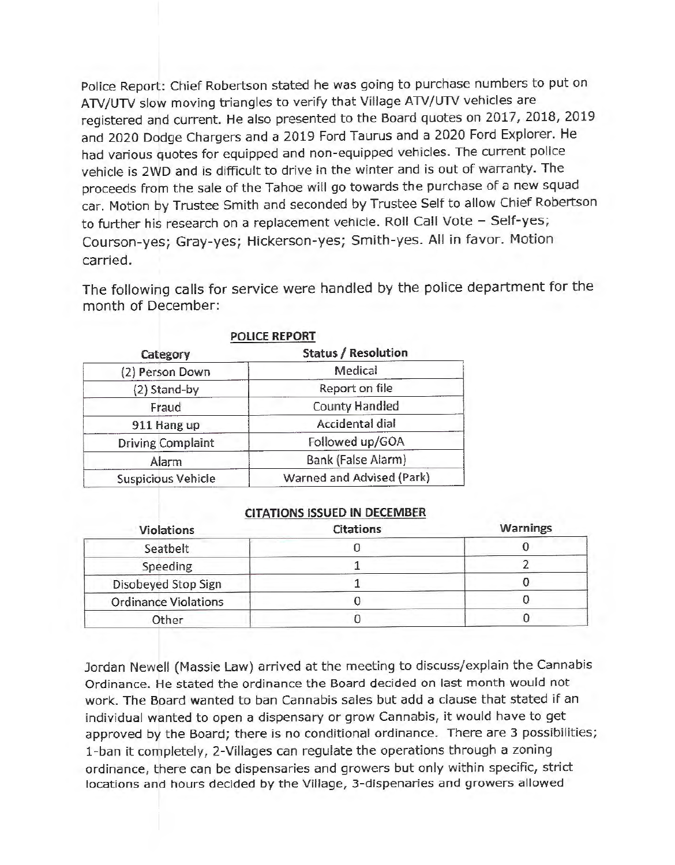Police Report: Chief Robertson stated he was going to purchase numbers to put on ATV/UTV slow moving triangles to verify that Village ATV/UTV vehicles are registered and current. He also presented to the Board quotes on 2017, 2018, 2019 and 2020 Dodge Chargers and a 2019 Ford Taurus and a 2020 Ford Explorer. He had various quotes for equipped and non-equipped vehicles. The current police vehicle is 2WD and is difficult to drive in the winter and is out of warranty. The proceeds from the sale of the Tahoe will go towards the purchase of a new squad car. Motion by Trustee Smith and seconded by Trustee Self to allow Chief Robertson to further his research on a replacement vehicle. Roll Call Vote - Self-yes; Courson-yes; Gray-yes; Hickerson-yes; Smith-yes. All in favor. Motion carried.

The following calls for service were handled by the police department for the month of December:

| Category                 | <b>Status / Resolution</b> |  |
|--------------------------|----------------------------|--|
| (2) Person Down          | Medical                    |  |
| (2) Stand-by             | Report on file             |  |
| Fraud                    | <b>County Handled</b>      |  |
| 911 Hang up              | Accidental dial            |  |
| <b>Driving Complaint</b> | Followed up/GOA            |  |
| Alarm                    | Bank (False Alarm)         |  |
| Suspicious Vehicle       | Warned and Advised (Park)  |  |

**POLICE REPORT** 

### **CITATIONS ISSUED IN DECEMBER**

| <b>Violations</b>           | <b>Citations</b> | <b>Warnings</b> |
|-----------------------------|------------------|-----------------|
| Seatbelt                    |                  |                 |
| Speeding                    |                  |                 |
| Disobeyed Stop Sign         |                  |                 |
| <b>Ordinance Violations</b> |                  |                 |
| Other                       |                  |                 |

Jordan Newell (Massie Law) arrived at the meeting to discuss/explain the Cannabis Ordinance. He stated the ordinance the Board decided on last month would not work. The Board wanted to ban Cannabis sales but add a clause that stated if an individual wanted to open a dispensary or grow Cannabis, it would have to get approved by the Board; there is no conditional ordinance. There are 3 possibilities; 1- ban it completely, 2-Villages can regulate the operations through a zoning ordinance, there can be dispensaries and growers but only within specific, strict locations and hours decided by the Village, 3 - dispenaries and growers allowed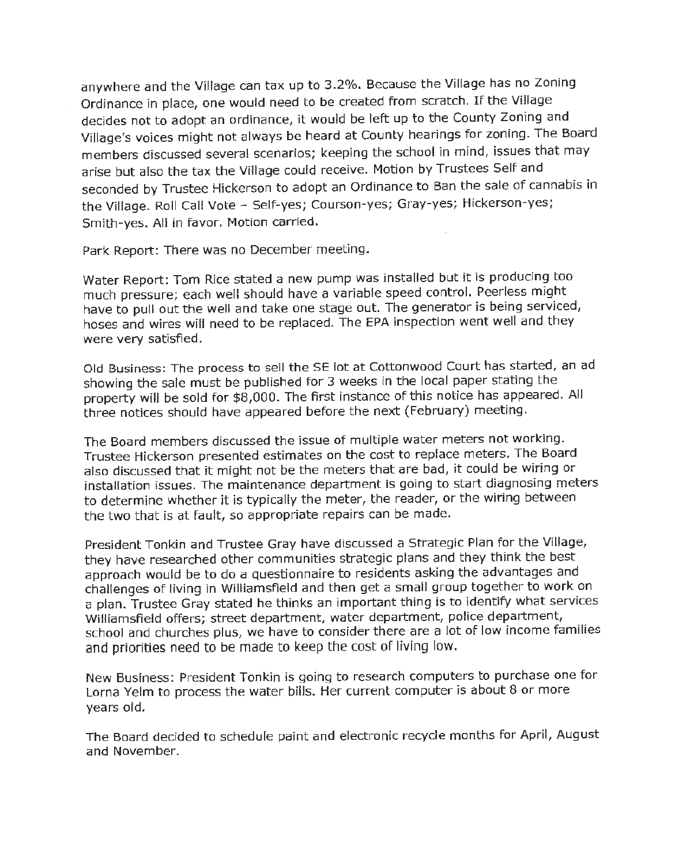anywhere and the Village can tax up to 3.2%. Because the Village has no Zoning Ordinance in place, one would need to be created from scratch. If the Village decides not to adopt an ordinance, it would be left up to the County Zoning and Village's voices might not always be heard at County hearings for zoning. The Board members discussed several scenarios; keeping the school in mind, issues that may arise but also the tax the Village could receive. Motion by Trustees Self and seconded by Trustee Hickerson to adopt an Ordinance to Ban the sale of cannabis in the Village. Roll Call Vote - Self-yes; Courson-yes; Gray-yes; Hickerson-yes; Smith-yes. All in favor. Motion carried.

Park Report: There was no December meeting.

Water Report: Tom Rice stated a new pump was installed but it is producing too much pressure; each well should have a variable speed control. Peerless might have to pull out the well and take one stage out. The generator is being serviced, hoses and wires will need to be replaced. The EPA inspection went well and they were very satisfied.

Old Business: The process to sell the SE lot at Cottonwood Court has started, an ad showing the sale must be published for 3 weeks in the local paper stating the property will be sold for \$8,000. The first instance of this notice has appeared. All three notices should have appeared before the next (February) meeting.

The Board members discussed the issue of multiple water meters not working. Trustee Hickerson presented estimates on the cost to replace meters. The Board also discussed that it might not be the meters that are bad, it could be wiring or installation issues. The maintenance department is going to start diagnosing meters to determine whether it is typically the meter, the reader, or the wiring between the two that is at fault, so appropriate repairs can be made.

President Tonkin and Trustee Gray have discussed a Strategic Plan for the Village, they have researched other communities strategic plans and they think the best approach would be to do a questionnaire to residents asking the advantages and challenges of living in Williamsfield and then get a small group together to work on a plan. Trustee Gray stated he thinks an important thing is to identify what services Williamsfield offers; street department, water department, police department, school and churches plus, we have to consider there are a Jot of low income families and priorities need to be made to keep the cost of living low.

New Business: President Tonkin is going to research computers to purchase one for Lorna Yelm to process the water bills. Her current computer is about 8 or more years old.

The Board decided to schedule paint and electronic recycle months for April, August and November.